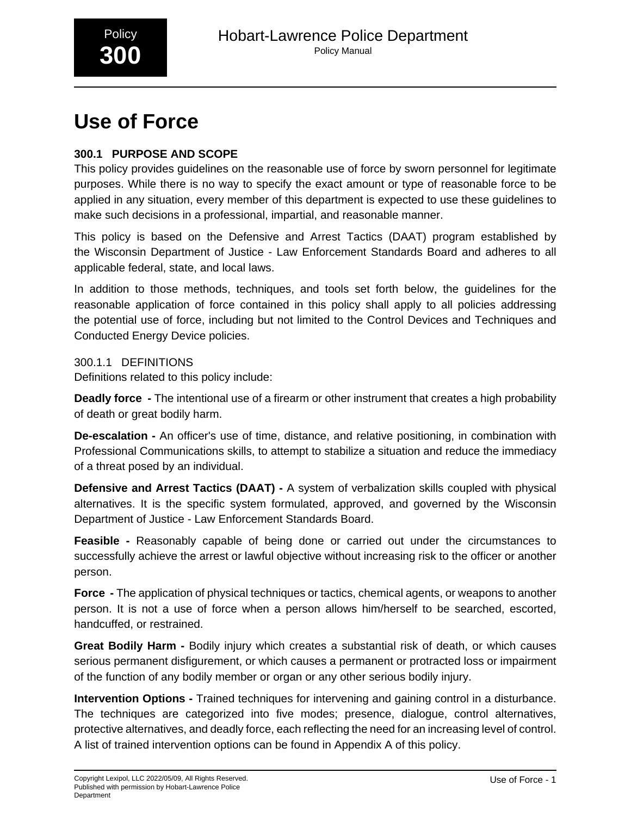

# **Use of Force**

# **300.1 PURPOSE AND SCOPE**

This policy provides guidelines on the reasonable use of force by sworn personnel for legitimate purposes. While there is no way to specify the exact amount or type of reasonable force to be applied in any situation, every member of this department is expected to use these guidelines to make such decisions in a professional, impartial, and reasonable manner.

This policy is based on the Defensive and Arrest Tactics (DAAT) program established by the Wisconsin Department of Justice - Law Enforcement Standards Board and adheres to all applicable federal, state, and local laws.

In addition to those methods, techniques, and tools set forth below, the guidelines for the reasonable application of force contained in this policy shall apply to all policies addressing the potential use of force, including but not limited to the Control Devices and Techniques and Conducted Energy Device policies.

300.1.1 DEFINITIONS

Definitions related to this policy include:

**Deadly force -** The intentional use of a firearm or other instrument that creates a high probability of death or great bodily harm.

**De-escalation -** An officer's use of time, distance, and relative positioning, in combination with Professional Communications skills, to attempt to stabilize a situation and reduce the immediacy of a threat posed by an individual.

**Defensive and Arrest Tactics (DAAT) -** A system of verbalization skills coupled with physical alternatives. It is the specific system formulated, approved, and governed by the Wisconsin Department of Justice - Law Enforcement Standards Board.

**Feasible -** Reasonably capable of being done or carried out under the circumstances to successfully achieve the arrest or lawful objective without increasing risk to the officer or another person.

**Force -** The application of physical techniques or tactics, chemical agents, or weapons to another person. It is not a use of force when a person allows him/herself to be searched, escorted, handcuffed, or restrained.

**Great Bodily Harm -** Bodily injury which creates a substantial risk of death, or which causes serious permanent disfigurement, or which causes a permanent or protracted loss or impairment of the function of any bodily member or organ or any other serious bodily injury.

**Intervention Options -** Trained techniques for intervening and gaining control in a disturbance. The techniques are categorized into five modes; presence, dialogue, control alternatives, protective alternatives, and deadly force, each reflecting the need for an increasing level of control. A list of trained intervention options can be found in Appendix A of this policy.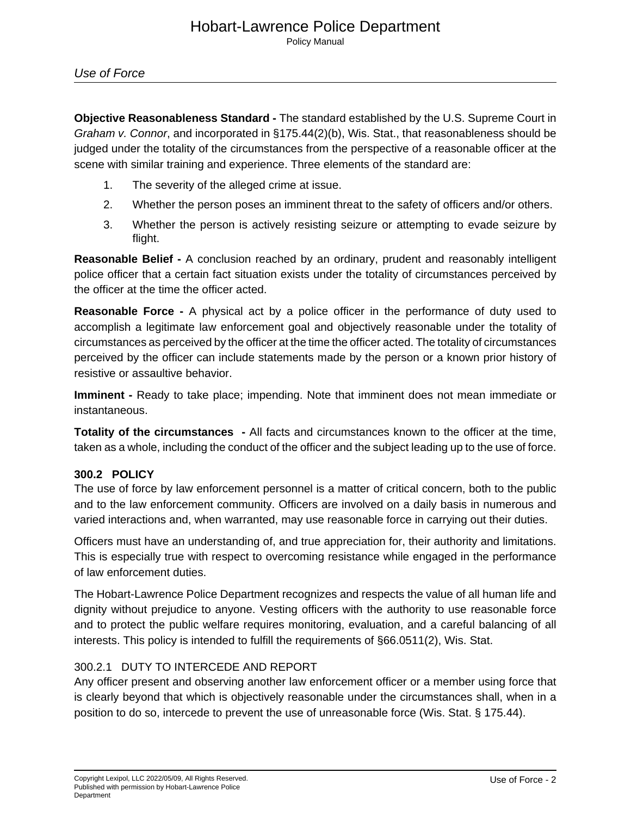**Objective Reasonableness Standard -** The standard established by the U.S. Supreme Court in Graham v. Connor, and incorporated in §175.44(2)(b), Wis. Stat., that reasonableness should be judged under the totality of the circumstances from the perspective of a reasonable officer at the scene with similar training and experience. Three elements of the standard are:

- 1. The severity of the alleged crime at issue.
- 2. Whether the person poses an imminent threat to the safety of officers and/or others.
- 3. Whether the person is actively resisting seizure or attempting to evade seizure by flight.

**Reasonable Belief -** A conclusion reached by an ordinary, prudent and reasonably intelligent police officer that a certain fact situation exists under the totality of circumstances perceived by the officer at the time the officer acted.

**Reasonable Force -** A physical act by a police officer in the performance of duty used to accomplish a legitimate law enforcement goal and objectively reasonable under the totality of circumstances as perceived by the officer at the time the officer acted. The totality of circumstances perceived by the officer can include statements made by the person or a known prior history of resistive or assaultive behavior.

**Imminent -** Ready to take place; impending. Note that imminent does not mean immediate or instantaneous.

**Totality of the circumstances -** All facts and circumstances known to the officer at the time, taken as a whole, including the conduct of the officer and the subject leading up to the use of force.

### **300.2 POLICY**

The use of force by law enforcement personnel is a matter of critical concern, both to the public and to the law enforcement community. Officers are involved on a daily basis in numerous and varied interactions and, when warranted, may use reasonable force in carrying out their duties.

Officers must have an understanding of, and true appreciation for, their authority and limitations. This is especially true with respect to overcoming resistance while engaged in the performance of law enforcement duties.

The Hobart-Lawrence Police Department recognizes and respects the value of all human life and dignity without prejudice to anyone. Vesting officers with the authority to use reasonable force and to protect the public welfare requires monitoring, evaluation, and a careful balancing of all interests. This policy is intended to fulfill the requirements of §66.0511(2), Wis. Stat.

#### 300.2.1 DUTY TO INTERCEDE AND REPORT

Any officer present and observing another law enforcement officer or a member using force that is clearly beyond that which is objectively reasonable under the circumstances shall, when in a position to do so, intercede to prevent the use of unreasonable force (Wis. Stat. § 175.44).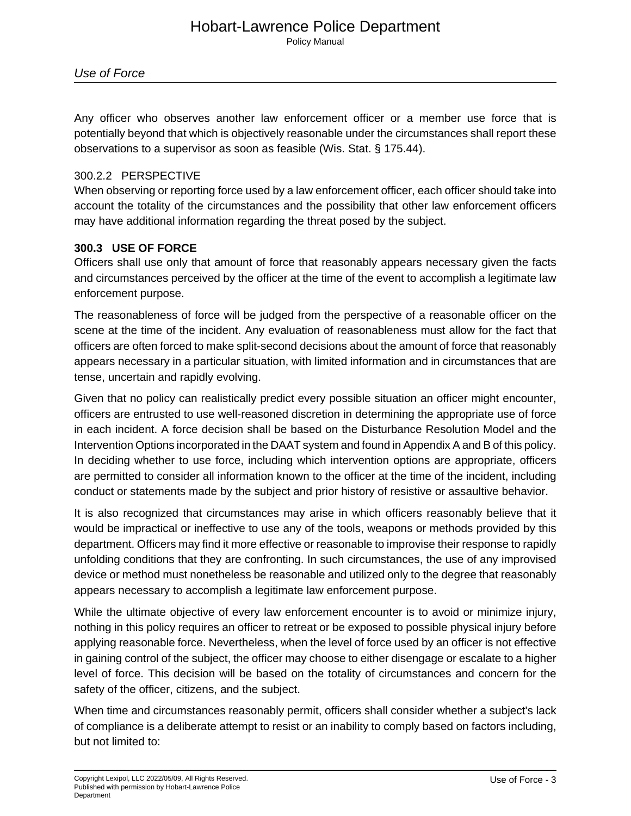Use of Force

Any officer who observes another law enforcement officer or a member use force that is potentially beyond that which is objectively reasonable under the circumstances shall report these observations to a supervisor as soon as feasible (Wis. Stat. § 175.44).

#### 300.2.2 PERSPECTIVE

When observing or reporting force used by a law enforcement officer, each officer should take into account the totality of the circumstances and the possibility that other law enforcement officers may have additional information regarding the threat posed by the subject.

#### **300.3 USE OF FORCE**

Officers shall use only that amount of force that reasonably appears necessary given the facts and circumstances perceived by the officer at the time of the event to accomplish a legitimate law enforcement purpose.

The reasonableness of force will be judged from the perspective of a reasonable officer on the scene at the time of the incident. Any evaluation of reasonableness must allow for the fact that officers are often forced to make split-second decisions about the amount of force that reasonably appears necessary in a particular situation, with limited information and in circumstances that are tense, uncertain and rapidly evolving.

Given that no policy can realistically predict every possible situation an officer might encounter, officers are entrusted to use well-reasoned discretion in determining the appropriate use of force in each incident. A force decision shall be based on the Disturbance Resolution Model and the Intervention Options incorporated in the DAAT system and found in Appendix A and B of this policy. In deciding whether to use force, including which intervention options are appropriate, officers are permitted to consider all information known to the officer at the time of the incident, including conduct or statements made by the subject and prior history of resistive or assaultive behavior.

It is also recognized that circumstances may arise in which officers reasonably believe that it would be impractical or ineffective to use any of the tools, weapons or methods provided by this department. Officers may find it more effective or reasonable to improvise their response to rapidly unfolding conditions that they are confronting. In such circumstances, the use of any improvised device or method must nonetheless be reasonable and utilized only to the degree that reasonably appears necessary to accomplish a legitimate law enforcement purpose.

While the ultimate objective of every law enforcement encounter is to avoid or minimize injury, nothing in this policy requires an officer to retreat or be exposed to possible physical injury before applying reasonable force. Nevertheless, when the level of force used by an officer is not effective in gaining control of the subject, the officer may choose to either disengage or escalate to a higher level of force. This decision will be based on the totality of circumstances and concern for the safety of the officer, citizens, and the subject.

When time and circumstances reasonably permit, officers shall consider whether a subject's lack of compliance is a deliberate attempt to resist or an inability to comply based on factors including, but not limited to: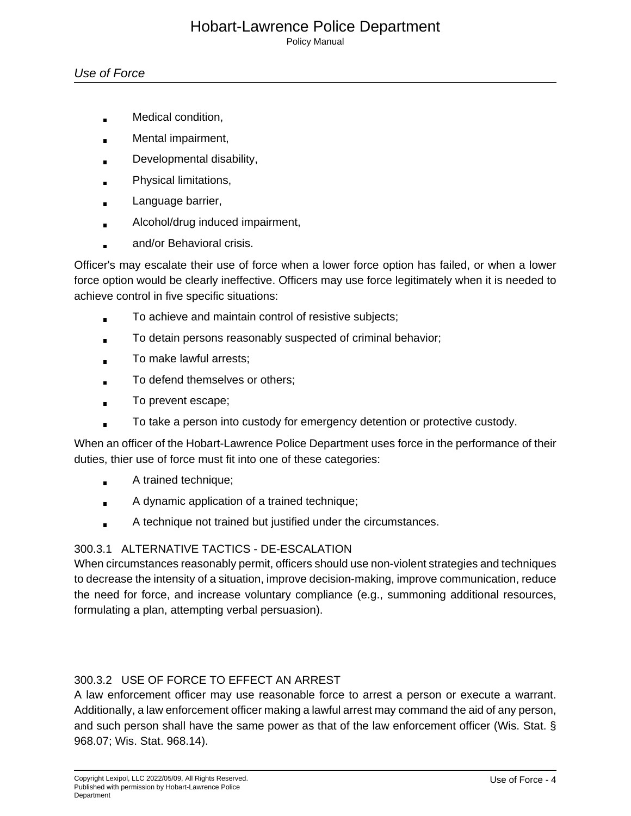#### Hobart-Lawrence Police Department Policy Manual

#### Use of Force

- Medical condition,
- Mental impairment,
- Developmental disability,
- Physical limitations,
- Language barrier,  $\blacksquare$
- Alcohol/drug induced impairment,  $\blacksquare$
- and/or Behavioral crisis.

Officer's may escalate their use of force when a lower force option has failed, or when a lower force option would be clearly ineffective. Officers may use force legitimately when it is needed to achieve control in five specific situations:

- To achieve and maintain control of resistive subjects;
- To detain persons reasonably suspected of criminal behavior;
- To make lawful arrests;
- To defend themselves or others;
- To prevent escape;
- To take a person into custody for emergency detention or protective custody.

When an officer of the Hobart-Lawrence Police Department uses force in the performance of their duties, thier use of force must fit into one of these categories:

- A trained technique;  $\blacksquare$
- A dynamic application of a trained technique;
- A technique not trained but justified under the circumstances.  $\blacksquare$

### 300.3.1 ALTERNATIVE TACTICS - DE-ESCALATION

When circumstances reasonably permit, officers should use non-violent strategies and techniques to decrease the intensity of a situation, improve decision-making, improve communication, reduce the need for force, and increase voluntary compliance (e.g., summoning additional resources, formulating a plan, attempting verbal persuasion).

### 300.3.2 USE OF FORCE TO EFFECT AN ARREST

A law enforcement officer may use reasonable force to arrest a person or execute a warrant. Additionally, a law enforcement officer making a lawful arrest may command the aid of any person, and such person shall have the same power as that of the law enforcement officer (Wis. Stat. § 968.07; Wis. Stat. 968.14).\_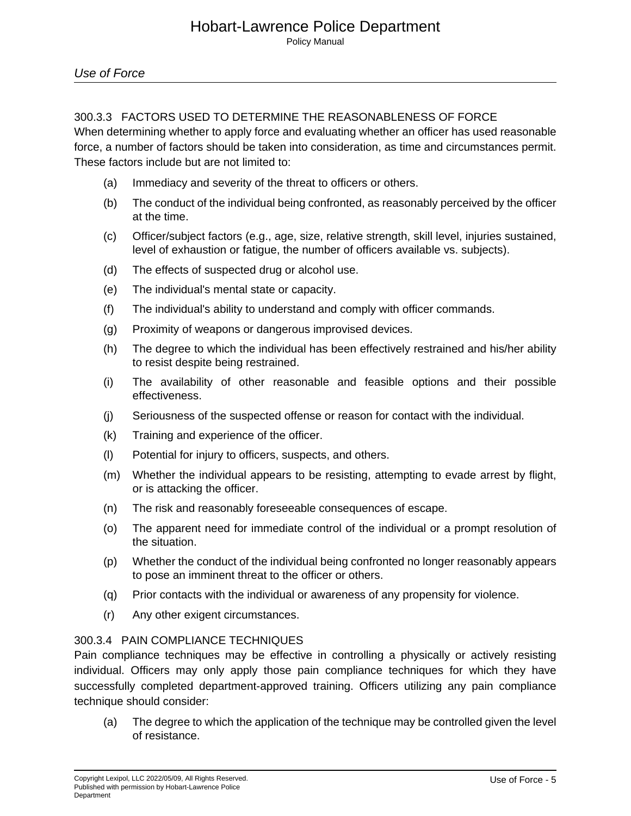#### 300.3.3 FACTORS USED TO DETERMINE THE REASONABLENESS OF FORCE

When determining whether to apply force and evaluating whether an officer has used reasonable force, a number of factors should be taken into consideration, as time and circumstances permit. These factors include but are not limited to:

- (a) Immediacy and severity of the threat to officers or others.
- (b) The conduct of the individual being confronted, as reasonably perceived by the officer at the time.
- (c) Officer/subject factors (e.g., age, size, relative strength, skill level, injuries sustained, level of exhaustion or fatigue, the number of officers available vs. subjects).
- (d) The effects of suspected drug or alcohol use.
- (e) The individual's mental state or capacity.
- (f) The individual's ability to understand and comply with officer commands.
- (g) Proximity of weapons or dangerous improvised devices.
- (h) The degree to which the individual has been effectively restrained and his/her ability to resist despite being restrained.
- (i) The availability of other reasonable and feasible options and their possible effectiveness.
- (j) Seriousness of the suspected offense or reason for contact with the individual.
- (k) Training and experience of the officer.
- (l) Potential for injury to officers, suspects, and others.
- (m) Whether the individual appears to be resisting, attempting to evade arrest by flight, or is attacking the officer.
- (n) The risk and reasonably foreseeable consequences of escape.
- (o) The apparent need for immediate control of the individual or a prompt resolution of the situation.
- (p) Whether the conduct of the individual being confronted no longer reasonably appears to pose an imminent threat to the officer or others.
- (q) Prior contacts with the individual or awareness of any propensity for violence.
- (r) Any other exigent circumstances.

#### 300.3.4 PAIN COMPLIANCE TECHNIQUES

Pain compliance techniques may be effective in controlling a physically or actively resisting individual. Officers may only apply those pain compliance techniques for which they have successfully completed department-approved training. Officers utilizing any pain compliance technique should consider:

(a) The degree to which the application of the technique may be controlled given the level of resistance.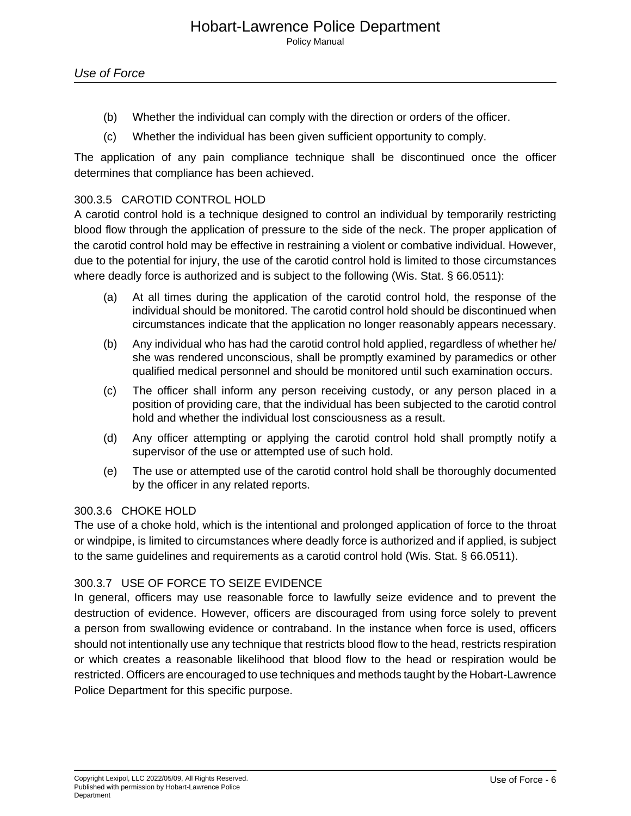- (b) Whether the individual can comply with the direction or orders of the officer.
- (c) Whether the individual has been given sufficient opportunity to comply.

The application of any pain compliance technique shall be discontinued once the officer determines that compliance has been achieved.

#### 300.3.5 CAROTID CONTROL HOLD

A carotid control hold is a technique designed to control an individual by temporarily restricting blood flow through the application of pressure to the side of the neck. The proper application of the carotid control hold may be effective in restraining a violent or combative individual. However, due to the potential for injury, the use of the carotid control hold is limited to those circumstances where deadly force is authorized and is subject to the following (Wis. Stat. § 66.0511):

- (a) At all times during the application of the carotid control hold, the response of the individual should be monitored. The carotid control hold should be discontinued when circumstances indicate that the application no longer reasonably appears necessary.
- (b) Any individual who has had the carotid control hold applied, regardless of whether he/ she was rendered unconscious, shall be promptly examined by paramedics or other qualified medical personnel and should be monitored until such examination occurs.
- (c) The officer shall inform any person receiving custody, or any person placed in a position of providing care, that the individual has been subjected to the carotid control hold and whether the individual lost consciousness as a result.
- (d) Any officer attempting or applying the carotid control hold shall promptly notify a supervisor of the use or attempted use of such hold.
- (e) The use or attempted use of the carotid control hold shall be thoroughly documented by the officer in any related reports.

#### 300.3.6 CHOKE HOLD

The use of a choke hold, which is the intentional and prolonged application of force to the throat or windpipe, is limited to circumstances where deadly force is authorized and if applied, is subject to the same guidelines and requirements as a carotid control hold (Wis. Stat. § 66.0511).

#### 300.3.7 USE OF FORCE TO SEIZE EVIDENCE

In general, officers may use reasonable force to lawfully seize evidence and to prevent the destruction of evidence. However, officers are discouraged from using force solely to prevent a person from swallowing evidence or contraband. In the instance when force is used, officers should not intentionally use any technique that restricts blood flow to the head, restricts respiration or which creates a reasonable likelihood that blood flow to the head or respiration would be restricted. Officers are encouraged to use techniques and methods taught by the Hobart-Lawrence Police Department for this specific purpose.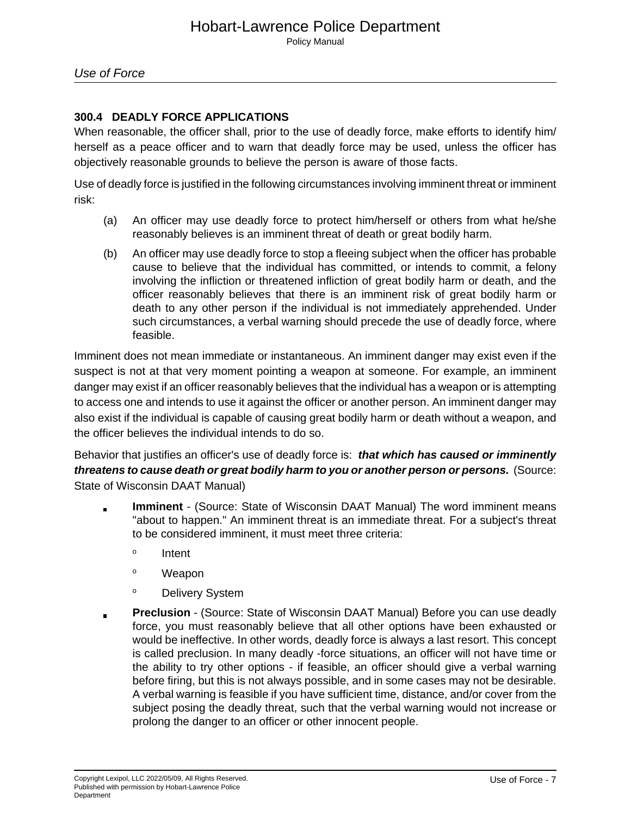## Use of Force

#### **300.4 DEADLY FORCE APPLICATIONS**

When reasonable, the officer shall, prior to the use of deadly force, make efforts to identify him/ herself as a peace officer and to warn that deadly force may be used, unless the officer has objectively reasonable grounds to believe the person is aware of those facts.

Use of deadly force is justified in the following circumstances involving imminent threat or imminent risk:

- (a) An officer may use deadly force to protect him/herself or others from what he/she reasonably believes is an imminent threat of death or great bodily harm.
- (b) An officer may use deadly force to stop a fleeing subject when the officer has probable cause to believe that the individual has committed, or intends to commit, a felony involving the infliction or threatened infliction of great bodily harm or death, and the officer reasonably believes that there is an imminent risk of great bodily harm or death to any other person if the individual is not immediately apprehended. Under such circumstances, a verbal warning should precede the use of deadly force, where feasible.

Imminent does not mean immediate or instantaneous. An imminent danger may exist even if the suspect is not at that very moment pointing a weapon at someone. For example, an imminent danger may exist if an officer reasonably believes that the individual has a weapon or is attempting to access one and intends to use it against the officer or another person. An imminent danger may also exist if the individual is capable of causing great bodily harm or death without a weapon, and the officer believes the individual intends to do so.

Behavior that justifies an officer's use of deadly force is: **that which has caused or imminently threatens to cause death or great bodily harm to you or another person or persons.** (Source: State of Wisconsin DAAT Manual)

- **Imminent** (Source: State of Wisconsin DAAT Manual) The word imminent means "about to happen." An imminent threat is an immediate threat. For a subject's threat to be considered imminent, it must meet three criteria:
	- o Intent
	- <sup>o</sup> Weapon
	- <sup>o</sup> Delivery System
- **Preclusion** (Source: State of Wisconsin DAAT Manual) Before you can use deadly  $\blacksquare$ force, you must reasonably believe that all other options have been exhausted or would be ineffective. In other words, deadly force is always a last resort. This concept is called preclusion. In many deadly -force situations, an officer will not have time or the ability to try other options - if feasible, an officer should give a verbal warning before firing, but this is not always possible, and in some cases may not be desirable. A verbal warning is feasible if you have sufficient time, distance, and/or cover from the subject posing the deadly threat, such that the verbal warning would not increase or prolong the danger to an officer or other innocent people.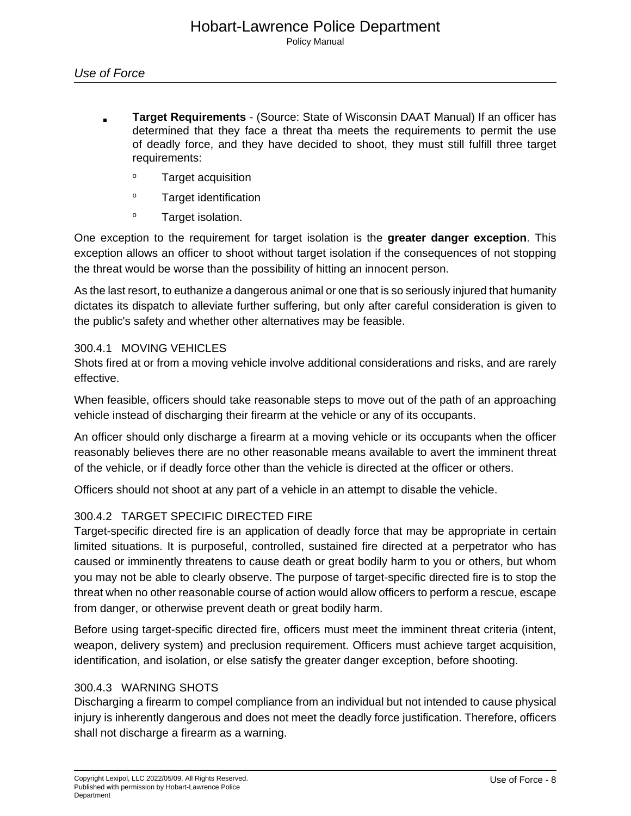- **Target Requirements** (Source: State of Wisconsin DAAT Manual) If an officer has determined that they face a threat tha meets the requirements to permit the use of deadly force, and they have decided to shoot, they must still fulfill three target requirements:
	- <sup>o</sup> Target acquisition
	- <sup>o</sup> Target identification
	- <sup>o</sup> Target isolation.

One exception to the requirement for target isolation is the **greater danger exception**. This exception allows an officer to shoot without target isolation if the consequences of not stopping the threat would be worse than the possibility of hitting an innocent person.

As the last resort, to euthanize a dangerous animal or one that is so seriously injured that humanity dictates its dispatch to alleviate further suffering, but only after careful consideration is given to the public's safety and whether other alternatives may be feasible.

#### 300.4.1 MOVING VEHICLES

Shots fired at or from a moving vehicle involve additional considerations and risks, and are rarely effective.

When feasible, officers should take reasonable steps to move out of the path of an approaching vehicle instead of discharging their firearm at the vehicle or any of its occupants.

An officer should only discharge a firearm at a moving vehicle or its occupants when the officer reasonably believes there are no other reasonable means available to avert the imminent threat of the vehicle, or if deadly force other than the vehicle is directed at the officer or others.

Officers should not shoot at any part of a vehicle in an attempt to disable the vehicle.

#### 300.4.2 TARGET SPECIFIC DIRECTED FIRE

Target-specific directed fire is an application of deadly force that may be appropriate in certain limited situations. It is purposeful, controlled, sustained fire directed at a perpetrator who has caused or imminently threatens to cause death or great bodily harm to you or others, but whom you may not be able to clearly observe. The purpose of target-specific directed fire is to stop the threat when no other reasonable course of action would allow officers to perform a rescue, escape from danger, or otherwise prevent death or great bodily harm.

Before using target-specific directed fire, officers must meet the imminent threat criteria (intent, weapon, delivery system) and preclusion requirement. Officers must achieve target acquisition, identification, and isolation, or else satisfy the greater danger exception, before shooting.

#### 300.4.3 WARNING SHOTS

Discharging a firearm to compel compliance from an individual but not intended to cause physical injury is inherently dangerous and does not meet the deadly force justification. Therefore, officers shall not discharge a firearm as a warning.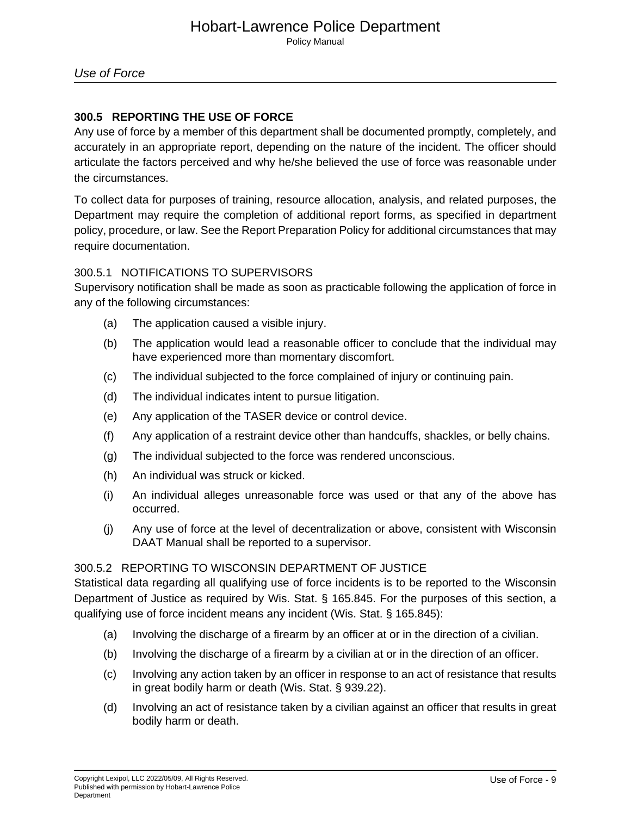#### **300.5 REPORTING THE USE OF FORCE**

Any use of force by a member of this department shall be documented promptly, completely, and accurately in an appropriate report, depending on the nature of the incident. The officer should articulate the factors perceived and why he/she believed the use of force was reasonable under the circumstances.

To collect data for purposes of training, resource allocation, analysis, and related purposes, the Department may require the completion of additional report forms, as specified in department policy, procedure, or law. See the Report Preparation Policy for additional circumstances that may require documentation.

#### 300.5.1 NOTIFICATIONS TO SUPERVISORS

Supervisory notification shall be made as soon as practicable following the application of force in any of the following circumstances:

- (a) The application caused a visible injury.
- (b) The application would lead a reasonable officer to conclude that the individual may have experienced more than momentary discomfort.
- (c) The individual subjected to the force complained of injury or continuing pain.
- (d) The individual indicates intent to pursue litigation.
- (e) Any application of the TASER device or control device.
- (f) Any application of a restraint device other than handcuffs, shackles, or belly chains.
- (g) The individual subjected to the force was rendered unconscious.
- (h) An individual was struck or kicked.
- (i) An individual alleges unreasonable force was used or that any of the above has occurred.
- (j) Any use of force at the level of decentralization or above, consistent with Wisconsin DAAT Manual shall be reported to a supervisor.

#### 300.5.2 REPORTING TO WISCONSIN DEPARTMENT OF JUSTICE

Statistical data regarding all qualifying use of force incidents is to be reported to the Wisconsin Department of Justice as required by Wis. Stat. § 165.845. For the purposes of this section, a qualifying use of force incident means any incident (Wis. Stat. § 165.845):

- (a) Involving the discharge of a firearm by an officer at or in the direction of a civilian.
- (b) Involving the discharge of a firearm by a civilian at or in the direction of an officer.
- (c) Involving any action taken by an officer in response to an act of resistance that results in great bodily harm or death (Wis. Stat. § 939.22).
- (d) Involving an act of resistance taken by a civilian against an officer that results in great bodily harm or death.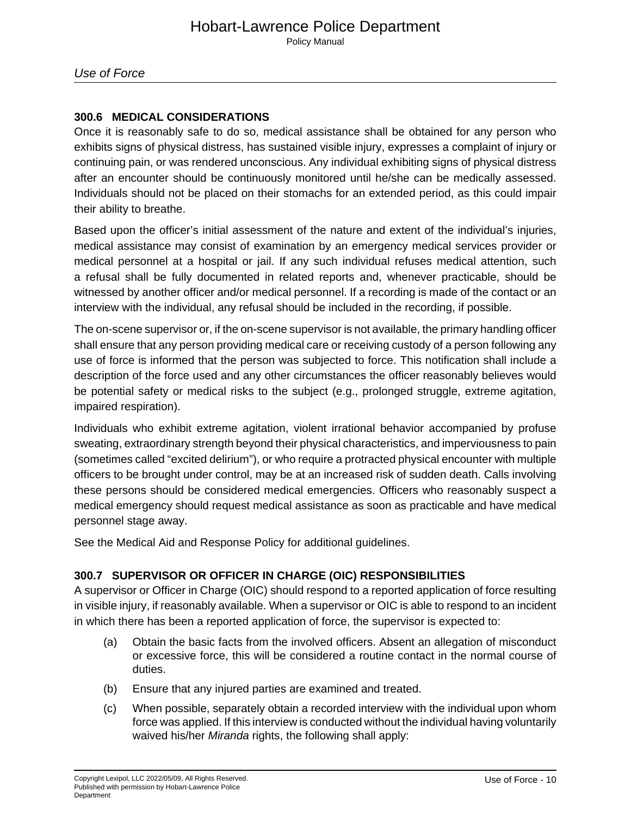#### **300.6 MEDICAL CONSIDERATIONS**

Once it is reasonably safe to do so, medical assistance shall be obtained for any person who exhibits signs of physical distress, has sustained visible injury, expresses a complaint of injury or continuing pain, or was rendered unconscious. Any individual exhibiting signs of physical distress after an encounter should be continuously monitored until he/she can be medically assessed. Individuals should not be placed on their stomachs for an extended period, as this could impair their ability to breathe.

Based upon the officer's initial assessment of the nature and extent of the individual's injuries, medical assistance may consist of examination by an emergency medical services provider or medical personnel at a hospital or jail. If any such individual refuses medical attention, such a refusal shall be fully documented in related reports and, whenever practicable, should be witnessed by another officer and/or medical personnel. If a recording is made of the contact or an interview with the individual, any refusal should be included in the recording, if possible.

The on-scene supervisor or, if the on-scene supervisor is not available, the primary handling officer shall ensure that any person providing medical care or receiving custody of a person following any use of force is informed that the person was subjected to force. This notification shall include a description of the force used and any other circumstances the officer reasonably believes would be potential safety or medical risks to the subject (e.g., prolonged struggle, extreme agitation, impaired respiration).

Individuals who exhibit extreme agitation, violent irrational behavior accompanied by profuse sweating, extraordinary strength beyond their physical characteristics, and imperviousness to pain (sometimes called "excited delirium"), or who require a protracted physical encounter with multiple officers to be brought under control, may be at an increased risk of sudden death. Calls involving these persons should be considered medical emergencies. Officers who reasonably suspect a medical emergency should request medical assistance as soon as practicable and have medical personnel stage away.

See the Medical Aid and Response Policy for additional guidelines.

### **300.7 SUPERVISOR OR OFFICER IN CHARGE (OIC) RESPONSIBILITIES**

A supervisor or Officer in Charge (OIC) should respond to a reported application of force resulting in visible injury, if reasonably available. When a supervisor or OIC is able to respond to an incident in which there has been a reported application of force, the supervisor is expected to:

- (a) Obtain the basic facts from the involved officers. Absent an allegation of misconduct or excessive force, this will be considered a routine contact in the normal course of duties.
- (b) Ensure that any injured parties are examined and treated.
- (c) When possible, separately obtain a recorded interview with the individual upon whom force was applied. If this interview is conducted without the individual having voluntarily waived his/her Miranda rights, the following shall apply: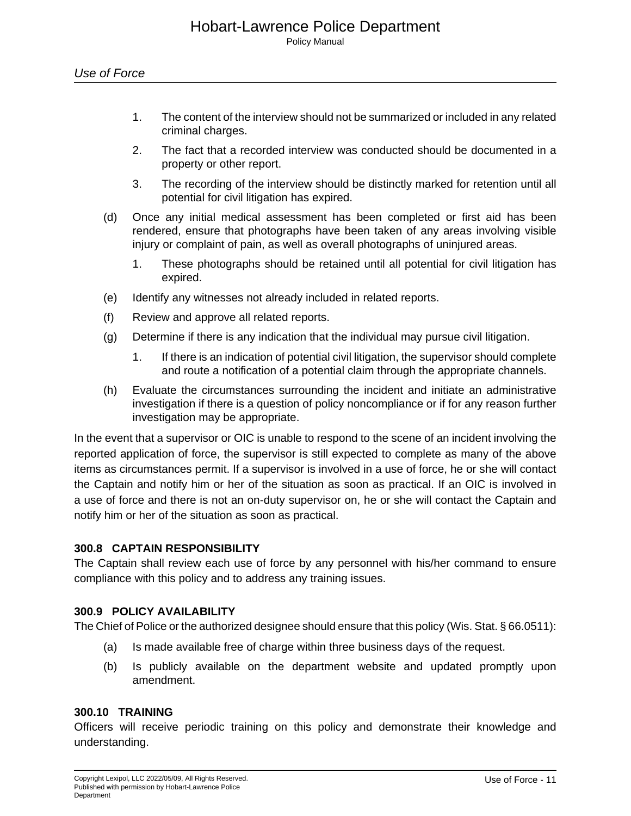- 1. The content of the interview should not be summarized or included in any related criminal charges.
- 2. The fact that a recorded interview was conducted should be documented in a property or other report.
- 3. The recording of the interview should be distinctly marked for retention until all potential for civil litigation has expired.
- (d) Once any initial medical assessment has been completed or first aid has been rendered, ensure that photographs have been taken of any areas involving visible injury or complaint of pain, as well as overall photographs of uninjured areas.
	- 1. These photographs should be retained until all potential for civil litigation has expired.
- (e) Identify any witnesses not already included in related reports.
- (f) Review and approve all related reports.
- (g) Determine if there is any indication that the individual may pursue civil litigation.
	- 1. If there is an indication of potential civil litigation, the supervisor should complete and route a notification of a potential claim through the appropriate channels.
- (h) Evaluate the circumstances surrounding the incident and initiate an administrative investigation if there is a question of policy noncompliance or if for any reason further investigation may be appropriate.

In the event that a supervisor or OIC is unable to respond to the scene of an incident involving the reported application of force, the supervisor is still expected to complete as many of the above items as circumstances permit. If a supervisor is involved in a use of force, he or she will contact the Captain and notify him or her of the situation as soon as practical. If an OIC is involved in a use of force and there is not an on-duty supervisor on, he or she will contact the Captain and notify him or her of the situation as soon as practical.

#### **300.8 CAPTAIN RESPONSIBILITY**

The Captain shall review each use of force by any personnel with his/her command to ensure compliance with this policy and to address any training issues.

#### **300.9 POLICY AVAILABILITY**

The Chief of Police or the authorized designee should ensure that this policy (Wis. Stat. § 66.0511):

- (a) Is made available free of charge within three business days of the request.
- (b) Is publicly available on the department website and updated promptly upon amendment.

#### **300.10 TRAINING**

Officers will receive periodic training on this policy and demonstrate their knowledge and understanding.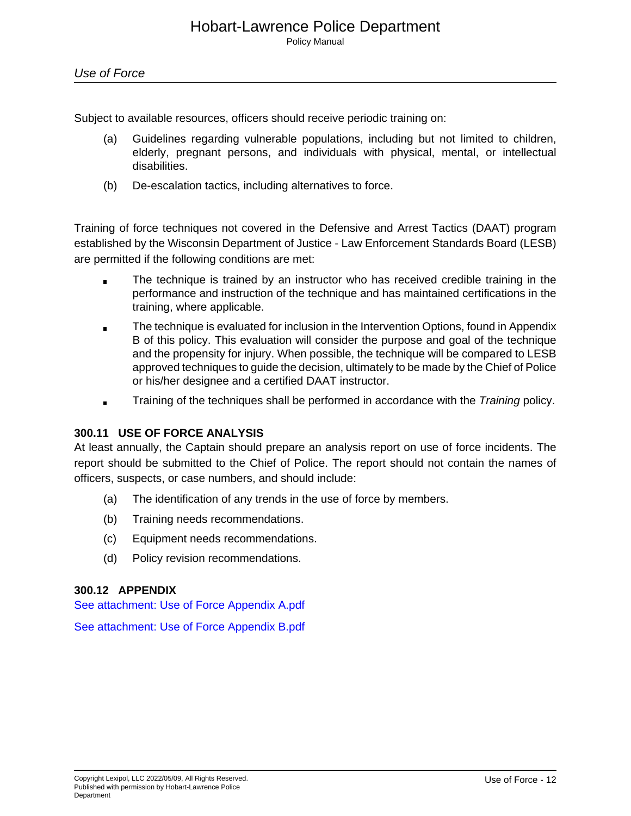Subject to available resources, officers should receive periodic training on:

- (a) Guidelines regarding vulnerable populations, including but not limited to children, elderly, pregnant persons, and individuals with physical, mental, or intellectual disabilities.
- (b) De-escalation tactics, including alternatives to force.

Training of force techniques not covered in the Defensive and Arrest Tactics (DAAT) program established by the Wisconsin Department of Justice - Law Enforcement Standards Board (LESB) are permitted if the following conditions are met:

- The technique is trained by an instructor who has received credible training in the  $\blacksquare$ performance and instruction of the technique and has maintained certifications in the training, where applicable.
- The technique is evaluated for inclusion in the Intervention Options, found in Appendix B of this policy. This evaluation will consider the purpose and goal of the technique and the propensity for injury. When possible, the technique will be compared to LESB approved techniques to guide the decision, ultimately to be made by the Chief of Police or his/her designee and a certified DAAT instructor.
- Training of the techniques shall be performed in accordance with the Training policy.  $\blacksquare$

#### **300.11 USE OF FORCE ANALYSIS**

At least annually, the Captain should prepare an analysis report on use of force incidents. The report should be submitted to the Chief of Police. The report should not contain the names of officers, suspects, or case numbers, and should include:

- (a) The identification of any trends in the use of force by members.
- (b) Training needs recommendations.
- (c) Equipment needs recommendations.
- (d) Policy revision recommendations.

#### **300.12 APPENDIX**

See attachment: Use of Force Appendix A.pdf

See attachment: Use of Force Appendix B.pdf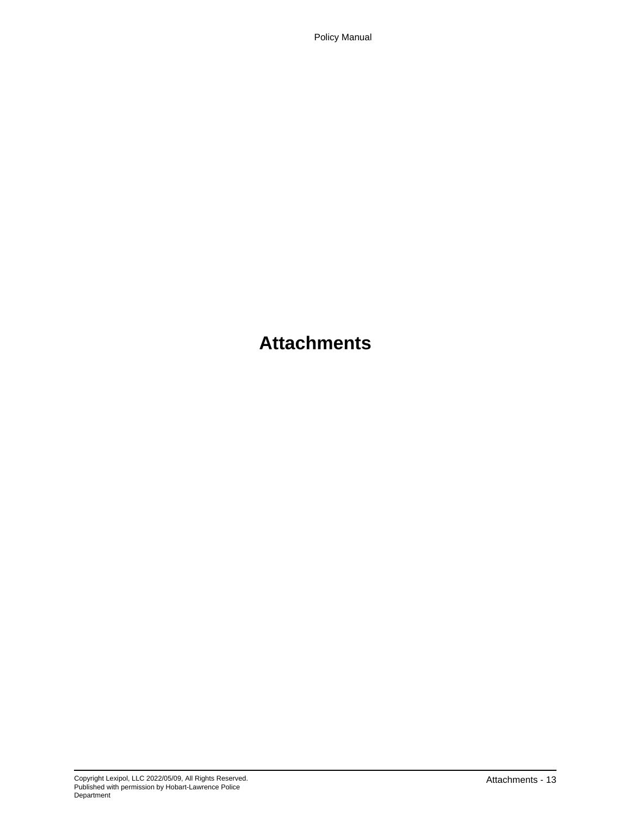Policy Manual

# **Attachments**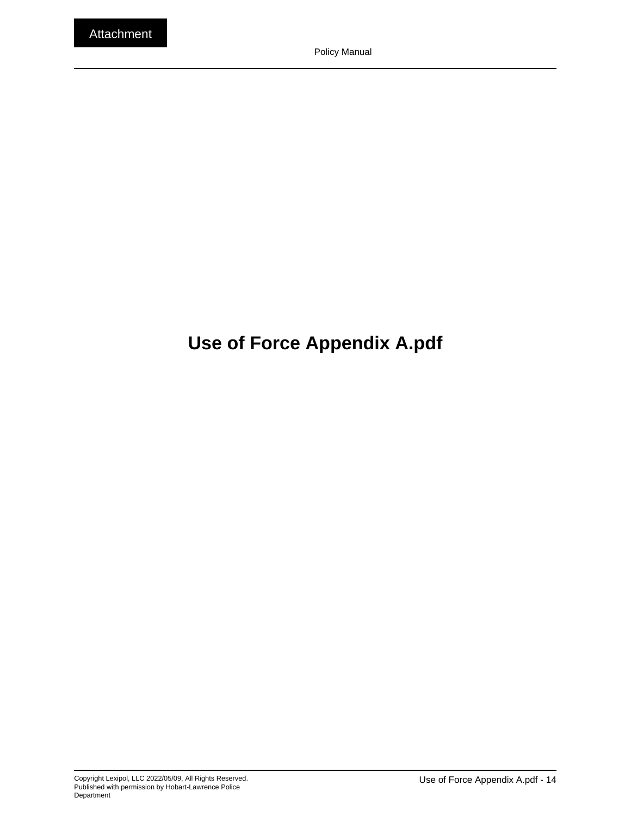# **Use of Force Appendix A.pdf**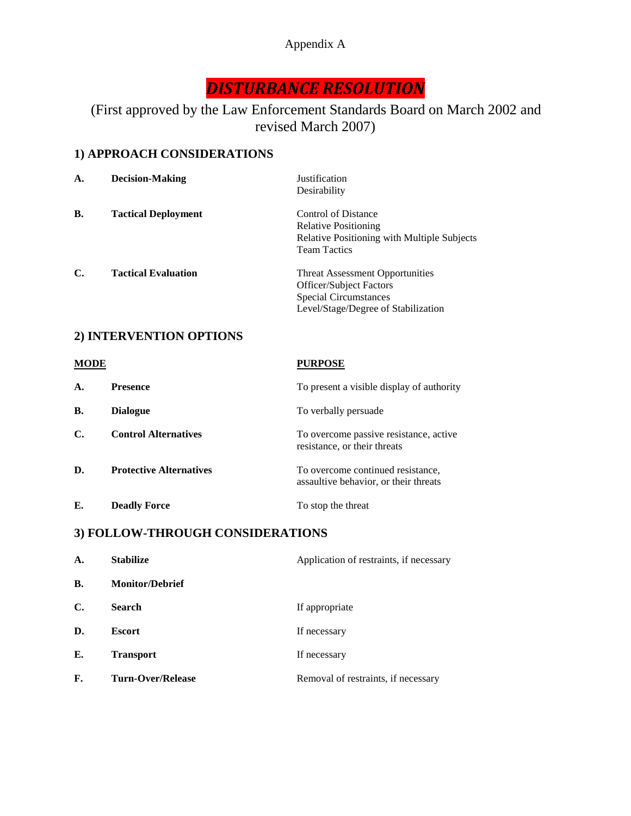# Appendix A

# *DISTURBANCE RESOLUTION*

# (First approved by the Law Enforcement Standards Board on March 2002 and revised March 2007)

# **1) APPROACH CONSIDERATIONS**

| A. | <b>Decision-Making</b>     | <b>Justification</b><br>Desirability                                                                                                     |
|----|----------------------------|------------------------------------------------------------------------------------------------------------------------------------------|
| В. | <b>Tactical Deployment</b> | Control of Distance<br><b>Relative Positioning</b><br><b>Relative Positioning with Multiple Subjects</b><br><b>Team Tactics</b>          |
| C. | <b>Tactical Evaluation</b> | <b>Threat Assessment Opportunities</b><br>Officer/Subject Factors<br><b>Special Circumstances</b><br>Level/Stage/Degree of Stabilization |

# **2) INTERVENTION OPTIONS**

| <b>MODE</b> |                                | <b>PURPOSE</b>                                                             |
|-------------|--------------------------------|----------------------------------------------------------------------------|
| A.          | <b>Presence</b>                | To present a visible display of authority                                  |
| В.          | <b>Dialogue</b>                | To verbally persuade                                                       |
| С.          | <b>Control Alternatives</b>    | To overcome passive resistance, active<br>resistance, or their threats     |
| D.          | <b>Protective Alternatives</b> | To overcome continued resistance,<br>assaultive behavior, or their threats |
| Е.          | <b>Deadly Force</b>            | To stop the threat                                                         |

# **3) FOLLOW-THROUGH CONSIDERATIONS**

| $\mathbf{A}$ . | <b>Stabilize</b>       | Application of restraints, if necessary |
|----------------|------------------------|-----------------------------------------|
| <b>B.</b>      | <b>Monitor/Debrief</b> |                                         |
| $\mathbf{C}$   | <b>Search</b>          | If appropriate                          |
| D.             | <b>Escort</b>          | If necessary                            |
| Е.             | <b>Transport</b>       | If necessary                            |
| F.             | Turn-Over/Release      | Removal of restraints, if necessary     |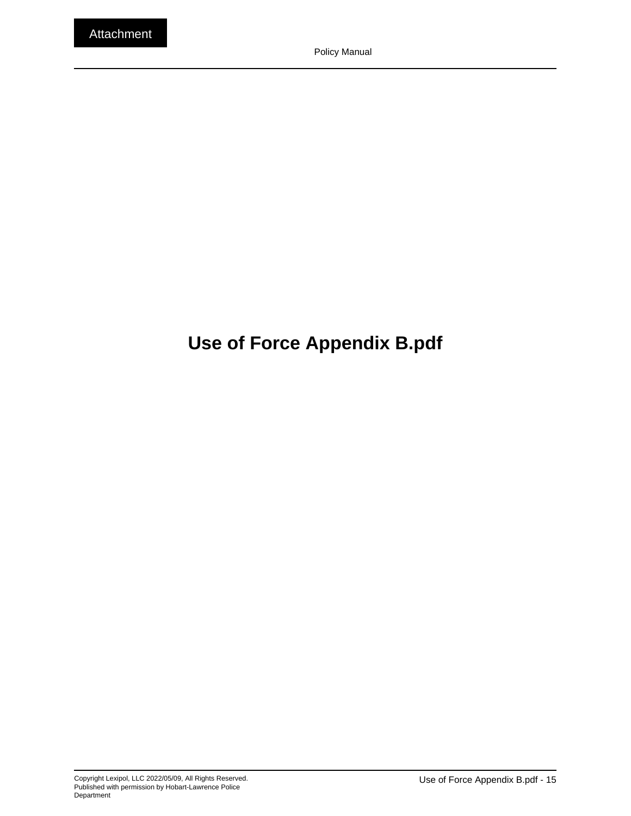# **Use of Force Appendix B.pdf**